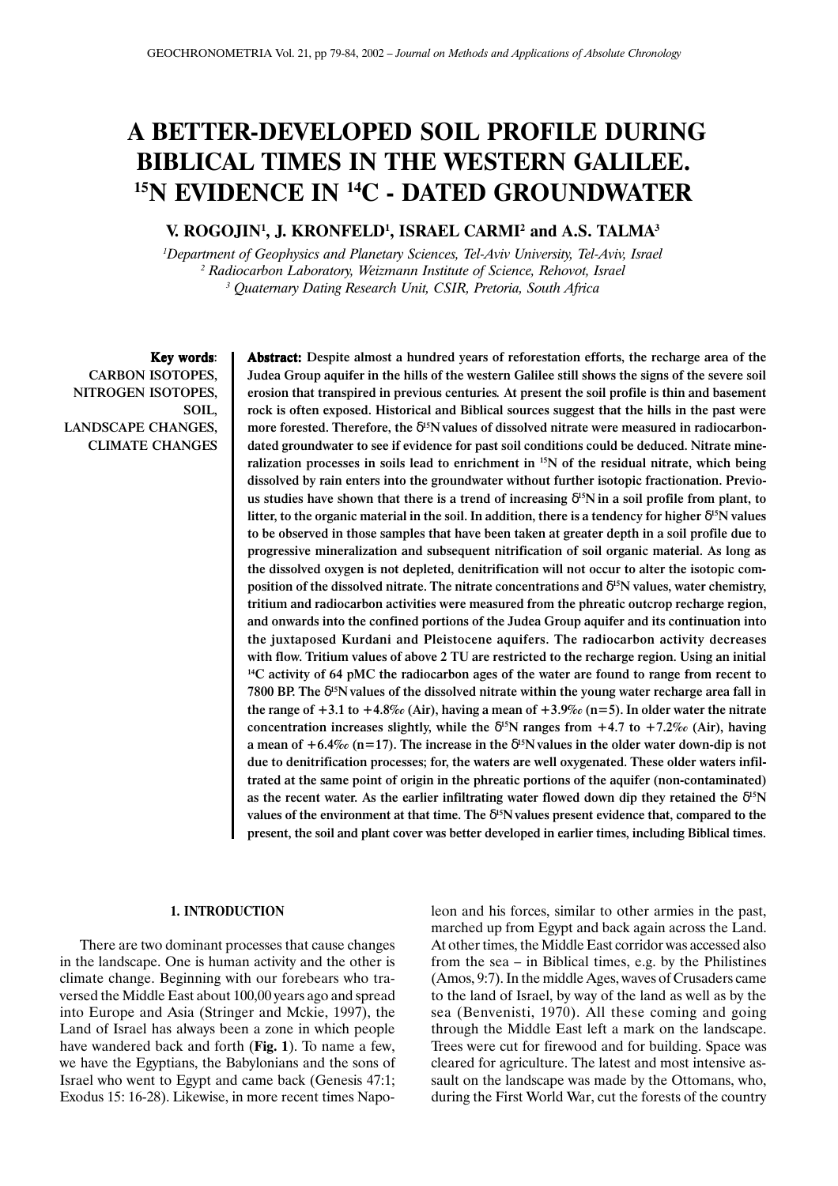# **A BETTER-DEVELOPED SOIL PROFILE DURING BIBLICAL TIMES IN THE WESTERN GALILEE. 15N EVIDENCE IN 14C - DATED GROUNDWATER**

## **V. ROGOJIN1 , J. KRONFELD1 , ISRAEL CARMI2 and A.S. TALMA3**

*1 Department of Geophysics and Planetary Sciences, Tel-Aviv University, Tel-Aviv, Israel 2 Radiocarbon Laboratory, Weizmann Institute of Science, Rehovot, Israel 3 Quaternary Dating Research Unit, CSIR, Pretoria, South Africa*

Key words: CARBON ISOTOPES, NITROGEN ISOTOPES, SOIL, LANDSCAPE CHANGES, CLIMATE CHANGES Abstract: Despite almost a hundred years of reforestation efforts, the recharge area of the Judea Group aquifer in the hills of the western Galilee still shows the signs of the severe soil erosion that transpired in previous centuries*.* At present the soil profile is thin and basement rock is often exposed. Historical and Biblical sources suggest that the hills in the past were more forested. Therefore, the  $\delta^{15}N$  values of dissolved nitrate were measured in radiocarbondated groundwater to see if evidence for past soil conditions could be deduced. Nitrate mineralization processes in soils lead to enrichment in 15N of the residual nitrate, which being dissolved by rain enters into the groundwater without further isotopic fractionation. Previous studies have shown that there is a trend of increasing  $\delta^{15}$ N in a soil profile from plant, to litter, to the organic material in the soil. In addition, there is a tendency for higher  $\delta^{15}N$  values to be observed in those samples that have been taken at greater depth in a soil profile due to progressive mineralization and subsequent nitrification of soil organic material. As long as the dissolved oxygen is not depleted, denitrification will not occur to alter the isotopic composition of the dissolved nitrate. The nitrate concentrations and δ<sup>15</sup>N values, water chemistry, tritium and radiocarbon activities were measured from the phreatic outcrop recharge region, and onwards into the confined portions of the Judea Group aquifer and its continuation into the juxtaposed Kurdani and Pleistocene aquifers. The radiocarbon activity decreases with flow. Tritium values of above 2 TU are restricted to the recharge region. Using an initial <sup>14</sup>C activity of 64 pMC the radiocarbon ages of the water are found to range from recent to 7800 BP. The  $\delta^{15}N$  values of the dissolved nitrate within the young water recharge area fall in the range of  $+3.1$  to  $+4.8\%$  (Air), having a mean of  $+3.9\%$  (n=5). In older water the nitrate concentration increases slightly, while the  $\delta^{15}N$  ranges from +4.7 to +7.2\% (Air), having a mean of +6.4‰ (n=17). The increase in the  $\delta^{15}N$  values in the older water down-dip is not due to denitrification processes; for, the waters are well oxygenated. These older waters infiltrated at the same point of origin in the phreatic portions of the aquifer (non-contaminated) as the recent water. As the earlier infiltrating water flowed down dip they retained the  $\delta^{15}N$ values of the environment at that time. The δ15Nvalues present evidence that, compared to the present, the soil and plant cover was better developed in earlier times, including Biblical times.

#### **1. INTRODUCTION**

There are two dominant processes that cause changes in the landscape. One is human activity and the other is climate change. Beginning with our forebears who traversed the Middle East about 100,00 years ago and spread into Europe and Asia (Stringer and Mckie, 1997), the Land of Israel has always been a zone in which people have wandered back and forth (**Fig. 1**). To name a few, we have the Egyptians, the Babylonians and the sons of Israel who went to Egypt and came back (Genesis 47:1; Exodus 15: 16-28). Likewise, in more recent times Napoleon and his forces, similar to other armies in the past, marched up from Egypt and back again across the Land. At other times, the Middle East corridor was accessed also from the sea – in Biblical times, e.g. by the Philistines (Amos, 9:7). In the middle Ages, waves of Crusaders came to the land of Israel, by way of the land as well as by the sea (Benvenisti, 1970). All these coming and going through the Middle East left a mark on the landscape. Trees were cut for firewood and for building. Space was cleared for agriculture. The latest and most intensive assault on the landscape was made by the Ottomans, who, during the First World War, cut the forests of the country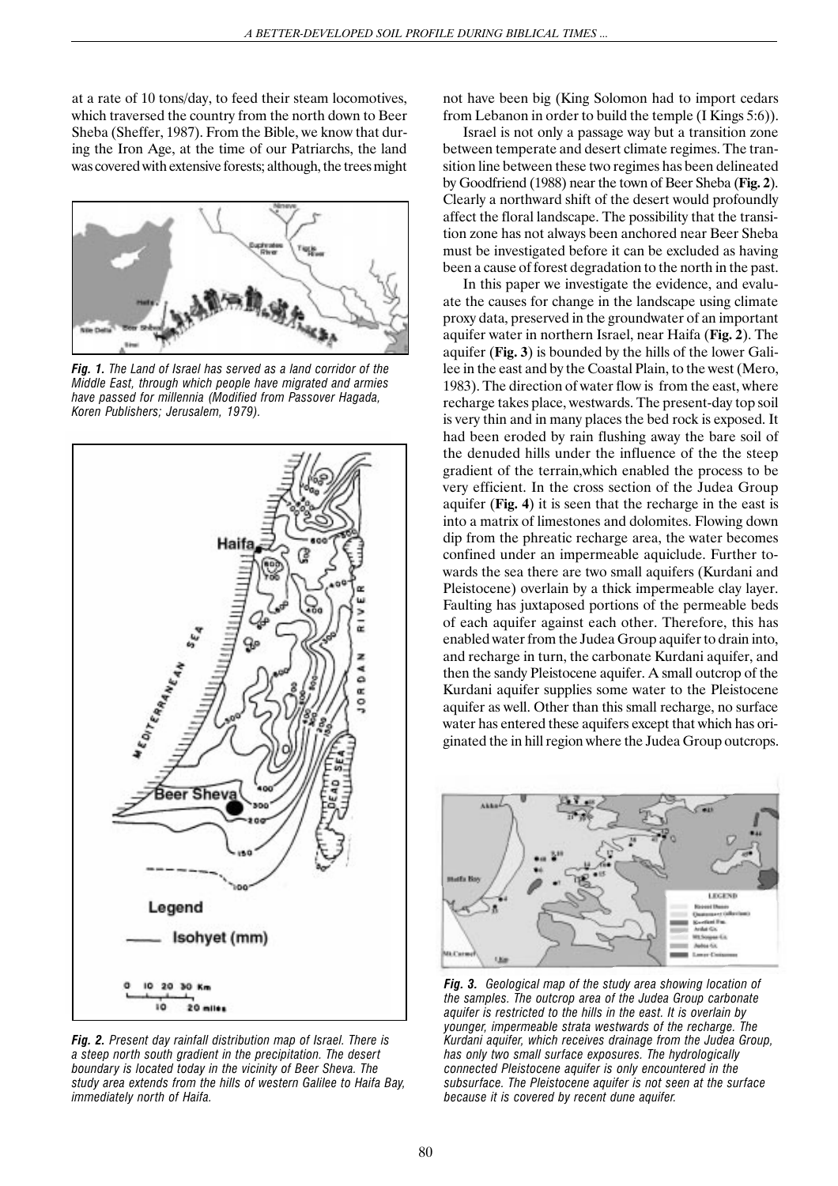at a rate of 10 tons/day, to feed their steam locomotives, which traversed the country from the north down to Beer Sheba (Sheffer, 1987). From the Bible, we know that during the Iron Age, at the time of our Patriarchs, the land was covered with extensive forests; although, the trees might



*Fig. 1. The Land of Israel has served as a land corridor of the Middle East, through which people have migrated and armies have passed for millennia (Modified from Passover Hagada, Koren Publishers; Jerusalem, 1979).*



*Fig. 2. Present day rainfall distribution map of Israel. There is a steep north south gradient in the precipitation. The desert boundary is located today in the vicinity of Beer Sheva. The study area extends from the hills of western Galilee to Haifa Bay, immediately north of Haifa.*

not have been big (King Solomon had to import cedars from Lebanon in order to build the temple (I Kings 5:6)).

Israel is not only a passage way but a transition zone between temperate and desert climate regimes. The transition line between these two regimes has been delineated by Goodfriend (1988) near the town of Beer Sheba (**Fig. 2**). Clearly a northward shift of the desert would profoundly affect the floral landscape. The possibility that the transition zone has not always been anchored near Beer Sheba must be investigated before it can be excluded as having been a cause of forest degradation to the north in the past.

In this paper we investigate the evidence, and evaluate the causes for change in the landscape using climate proxy data, preserved in the groundwater of an important aquifer water in northern Israel, near Haifa (**Fig. 2**). The aquifer (**Fig. 3**) is bounded by the hills of the lower Galilee in the east and by the Coastal Plain, to the west (Mero, 1983). The direction of water flow is from the east, where recharge takes place, westwards. The present-day top soil is very thin and in many places the bed rock is exposed. It had been eroded by rain flushing away the bare soil of the denuded hills under the influence of the the steep gradient of the terrain,which enabled the process to be very efficient. In the cross section of the Judea Group aquifer (**Fig. 4**) it is seen that the recharge in the east is into a matrix of limestones and dolomites. Flowing down dip from the phreatic recharge area, the water becomes confined under an impermeable aquiclude. Further towards the sea there are two small aquifers (Kurdani and Pleistocene) overlain by a thick impermeable clay layer. Faulting has juxtaposed portions of the permeable beds of each aquifer against each other. Therefore, this has enabled water from the Judea Group aquifer to drain into, and recharge in turn, the carbonate Kurdani aquifer, and then the sandy Pleistocene aquifer. A small outcrop of the Kurdani aquifer supplies some water to the Pleistocene aquifer as well. Other than this small recharge, no surface water has entered these aquifers except that which has originated the in hill region where the Judea Group outcrops.



*Fig. 3. Geological map of the study area showing location of the samples. The outcrop area of the Judea Group carbonate aquifer is restricted to the hills in the east. It is overlain by younger, impermeable strata westwards of the recharge. The Kurdani aquifer, which receives drainage from the Judea Group, has only two small surface exposures. The hydrologically connected Pleistocene aquifer is only encountered in the subsurface. The Pleistocene aquifer is not seen at the surface because it is covered by recent dune aquifer.*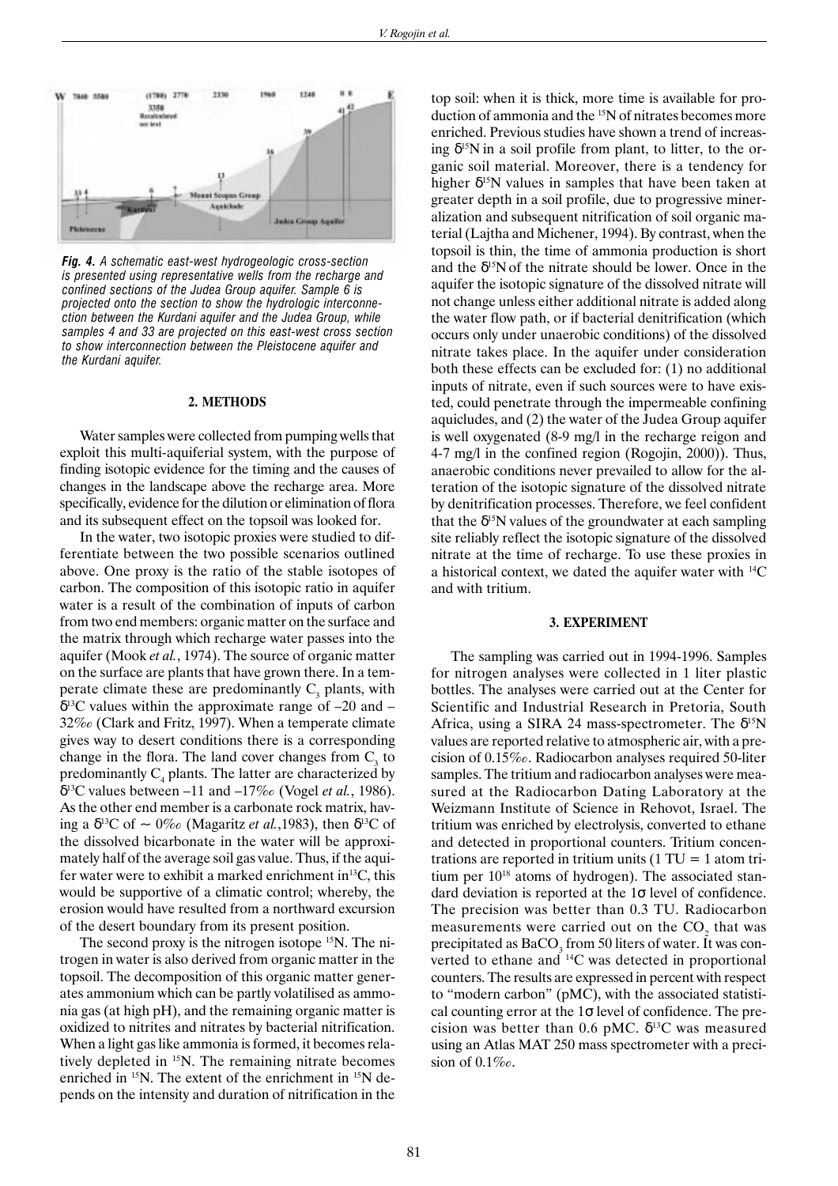

*Fig. 4. A schematic east-west hydrogeologic cross-section is presented using representative wells from the recharge and confined sections of the Judea Group aquifer. Sample 6 is projected onto the section to show the hydrologic interconnection between the Kurdani aquifer and the Judea Group, while samples 4 and 33 are projected on this east-west cross section to show interconnection between the Pleistocene aquifer and the Kurdani aquifer.*

#### **2. METHODS**

Water samples were collected from pumping wells that exploit this multi-aquiferial system, with the purpose of finding isotopic evidence for the timing and the causes of changes in the landscape above the recharge area. More specifically, evidence for the dilution or elimination of flora and its subsequent effect on the topsoil was looked for.

In the water, two isotopic proxies were studied to differentiate between the two possible scenarios outlined above. One proxy is the ratio of the stable isotopes of carbon. The composition of this isotopic ratio in aquifer water is a result of the combination of inputs of carbon from two end members: organic matter on the surface and the matrix through which recharge water passes into the aquifer (Mook *et al.*, 1974). The source of organic matter on the surface are plants that have grown there. In a temperate climate these are predominantly  $C_3$  plants, with  $\delta^{13}$ C values within the approximate range of  $-20$  and  $-$ 32‰ (Clark and Fritz, 1997). When a temperate climate gives way to desert conditions there is a corresponding change in the flora. The land cover changes from  $C_3$  to predominantly  $C_4$  plants. The latter are characterized by δ13C values between –11 and –17‰ (Vogel *et al.*, 1986). As the other end member is a carbonate rock matrix, having a  $\delta^{13}$ C of  $\sim 0\%$  (Magaritz *et al.*, 1983), then  $\delta^{13}$ C of the dissolved bicarbonate in the water will be approximately half of the average soil gas value. Thus, if the aquifer water were to exhibit a marked enrichment in13C, this would be supportive of a climatic control; whereby, the erosion would have resulted from a northward excursion of the desert boundary from its present position.

The second proxy is the nitrogen isotope <sup>15</sup>N. The nitrogen in water is also derived from organic matter in the topsoil. The decomposition of this organic matter generates ammonium which can be partly volatilised as ammonia gas (at high pH), and the remaining organic matter is oxidized to nitrites and nitrates by bacterial nitrification. When a light gas like ammonia is formed, it becomes relatively depleted in 15N. The remaining nitrate becomes enriched in <sup>15</sup>N. The extent of the enrichment in <sup>15</sup>N depends on the intensity and duration of nitrification in the top soil: when it is thick, more time is available for production of ammonia and the <sup>15</sup>N of nitrates becomes more enriched. Previous studies have shown a trend of increasing  $\delta^{15}$ N in a soil profile from plant, to litter, to the organic soil material. Moreover, there is a tendency for higher  $\delta^{15}$ N values in samples that have been taken at greater depth in a soil profile, due to progressive mineralization and subsequent nitrification of soil organic material (Lajtha and Michener, 1994). By contrast, when the topsoil is thin, the time of ammonia production is short and the  $\delta^{15}N$  of the nitrate should be lower. Once in the aquifer the isotopic signature of the dissolved nitrate will not change unless either additional nitrate is added along the water flow path, or if bacterial denitrification (which occurs only under unaerobic conditions) of the dissolved nitrate takes place. In the aquifer under consideration both these effects can be excluded for: (1) no additional inputs of nitrate, even if such sources were to have existed, could penetrate through the impermeable confining aquicludes, and (2) the water of the Judea Group aquifer is well oxygenated (8-9 mg/l in the recharge reigon and 4-7 mg/l in the confined region (Rogojin, 2000)). Thus, anaerobic conditions never prevailed to allow for the alteration of the isotopic signature of the dissolved nitrate by denitrification processes. Therefore, we feel confident that the  $\delta^{15}N$  values of the groundwater at each sampling site reliably reflect the isotopic signature of the dissolved nitrate at the time of recharge. To use these proxies in a historical context, we dated the aquifer water with 14C and with tritium.

#### **3. EXPERIMENT**

The sampling was carried out in 1994-1996. Samples for nitrogen analyses were collected in 1 liter plastic bottles. The analyses were carried out at the Center for Scientific and Industrial Research in Pretoria, South Africa, using a SIRA 24 mass-spectrometer. The  $\delta^{15}N$ values are reported relative to atmospheric air, with a precision of 0.15‰. Radiocarbon analyses required 50-liter samples. The tritium and radiocarbon analyses were measured at the Radiocarbon Dating Laboratory at the Weizmann Institute of Science in Rehovot, Israel. The tritium was enriched by electrolysis, converted to ethane and detected in proportional counters. Tritium concentrations are reported in tritium units  $(1 TU = 1$  atom tritium per  $10^{18}$  atoms of hydrogen). The associated standard deviation is reported at the 1σ level of confidence. The precision was better than 0.3 TU. Radiocarbon measurements were carried out on the  $CO<sub>2</sub>$  that was precipitated as  $\mathrm{BaCO}_3^{}$  from 50 liters of water. It was converted to ethane and 14C was detected in proportional counters. The results are expressed in percent with respect to "modern carbon" (pMC), with the associated statistical counting error at the  $1\sigma$  level of confidence. The precision was better than 0.6 pMC.  $\delta^{13}$ C was measured using an Atlas MAT 250 mass spectrometer with a precision of 0.1‰.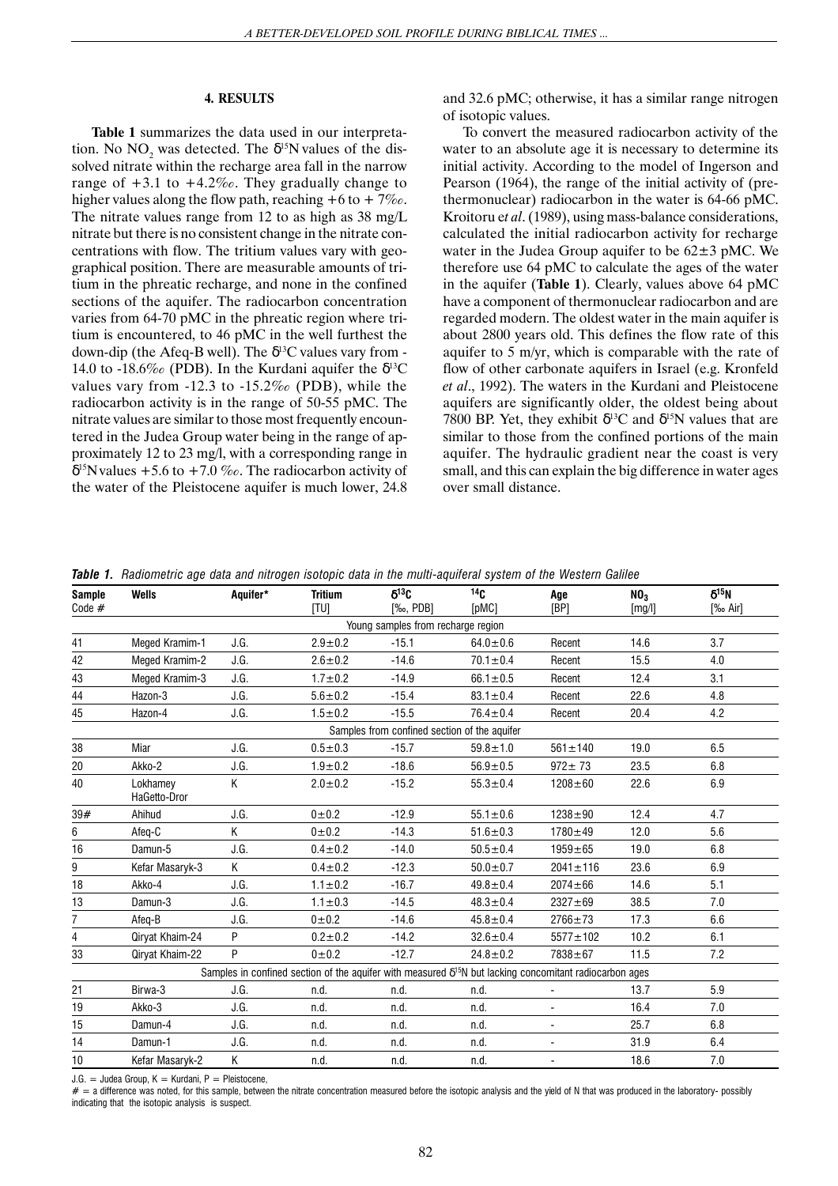## **4. RESULTS**

**Table 1** summarizes the data used in our interpretation. No  $NO_2$  was detected. The  $\delta^{15}N$  values of the dissolved nitrate within the recharge area fall in the narrow range of  $+3.1$  to  $+4.2\%$ . They gradually change to higher values along the flow path, reaching  $+6$  to  $+7\%$ . The nitrate values range from 12 to as high as 38 mg/L nitrate but there is no consistent change in the nitrate concentrations with flow. The tritium values vary with geographical position. There are measurable amounts of tritium in the phreatic recharge, and none in the confined sections of the aquifer. The radiocarbon concentration varies from 64-70 pMC in the phreatic region where tritium is encountered, to 46 pMC in the well furthest the down-dip (the Afeq-B well). The  $\delta^{13}$ C values vary from -14.0 to -18.6‰ (PDB). In the Kurdani aquifer the  $\delta^{13}C$ values vary from -12.3 to -15.2‰ (PDB), while the radiocarbon activity is in the range of 50-55 pMC. The nitrate values are similar to those most frequently encountered in the Judea Group water being in the range of approximately 12 to 23 mg/l, with a corresponding range in  $\delta^{15}$ Nvalues +5.6 to +7.0 ‰. The radiocarbon activity of the water of the Pleistocene aquifer is much lower, 24.8

and 32.6 pMC; otherwise, it has a similar range nitrogen of isotopic values.

To convert the measured radiocarbon activity of the water to an absolute age it is necessary to determine its initial activity. According to the model of Ingerson and Pearson (1964), the range of the initial activity of (prethermonuclear) radiocarbon in the water is 64-66 pMC. Kroitoru e*t al*. (1989), using mass-balance considerations, calculated the initial radiocarbon activity for recharge water in the Judea Group aquifer to be  $62\pm3$  pMC. We therefore use 64 pMC to calculate the ages of the water in the aquifer (**Table 1**). Clearly, values above 64 pMC have a component of thermonuclear radiocarbon and are regarded modern. The oldest water in the main aquifer is about 2800 years old. This defines the flow rate of this aquifer to 5 m/yr, which is comparable with the rate of flow of other carbonate aquifers in Israel (e.g. Kronfeld *et al*., 1992). The waters in the Kurdani and Pleistocene aquifers are significantly older, the oldest being about 7800 BP. Yet, they exhibit  $\delta^{13}$ C and  $\delta^{15}$ N values that are similar to those from the confined portions of the main aquifer. The hydraulic gradient near the coast is very small, and this can explain the big difference in water ages over small distance.

*Table 1. Radiometric age data and nitrogen isotopic data in the multi-aquiferal system of the Western Galilee*

| <b>Sample</b> | <b>Wells</b>             | Aquifer* | <b>Tritium</b> | $\delta^{13}C$                                                                                                      | 14 <sub>C</sub> | Age            | NO <sub>3</sub> | $\delta^{15}$ N |
|---------------|--------------------------|----------|----------------|---------------------------------------------------------------------------------------------------------------------|-----------------|----------------|-----------------|-----------------|
| Code $#$      |                          |          | [TU]           | $[%$ <sub>o</sub> , PDB $]$                                                                                         | [pMC]           | [BP]           | [mg/l]          | [‰ Air]         |
|               |                          |          |                | Young samples from recharge region                                                                                  |                 |                |                 |                 |
| 41            | Meged Kramim-1           | J.G.     | $2.9 \pm 0.2$  | $-15.1$                                                                                                             | $64.0 \pm 0.6$  | Recent         | 14.6            | 3.7             |
| 42            | Meged Kramim-2           | J.G.     | $2.6 \pm 0.2$  | $-14.6$                                                                                                             | $70.1 \pm 0.4$  | Recent         | 15.5            | 4.0             |
| 43            | Meged Kramim-3           | J.G.     | $1.7 + 0.2$    | $-14.9$                                                                                                             | $66.1 \pm 0.5$  | Recent         | 12.4            | 3.1             |
| 44            | Hazon-3                  | J.G.     | $5.6 \pm 0.2$  | $-15.4$                                                                                                             | $83.1 \pm 0.4$  | Recent         | 22.6            | 4.8             |
| 45            | Hazon-4                  | J.G.     | $1.5 \pm 0.2$  | $-15.5$                                                                                                             | $76.4 \pm 0.4$  | Recent         | 20.4            | 4.2             |
|               |                          |          |                | Samples from confined section of the aquifer                                                                        |                 |                |                 |                 |
| 38            | Miar                     | J.G.     | $0.5 + 0.3$    | $-15.7$                                                                                                             | $59.8 \pm 1.0$  | $561 \pm 140$  | 19.0            | 6.5             |
| 20            | Akko-2                   | J.G.     | $1.9 + 0.2$    | $-18.6$                                                                                                             | $56.9 + 0.5$    | $972 \pm 73$   | 23.5            | 6.8             |
| 40            | Lokhamey<br>HaGetto-Dror | K        | $2.0 \pm 0.2$  | $-15.2$                                                                                                             | $55.3 \pm 0.4$  | $1208 + 60$    | 22.6            | 6.9             |
| 39#           | Ahihud                   | J.G.     | $0\pm 0.2$     | $-12.9$                                                                                                             | $55.1 \pm 0.6$  | $1238 + 90$    | 12.4            | 4.7             |
| 6             | Afeq-C                   | K        | $0 + 0.2$      | $-14.3$                                                                                                             | $51.6 \pm 0.3$  | $1780 + 49$    | 12.0            | 5.6             |
| 16            | Damun-5                  | J.G.     | $0.4 \pm 0.2$  | $-14.0$                                                                                                             | $50.5 \pm 0.4$  | $1959 + 65$    | 19.0            | 6.8             |
| 9             | Kefar Masaryk-3          | K        | $0.4 \pm 0.2$  | $-12.3$                                                                                                             | $50.0 \pm 0.7$  | $2041 \pm 116$ | 23.6            | 6.9             |
| 18            | Akko-4                   | J.G.     | $1.1 \pm 0.2$  | $-16.7$                                                                                                             | $49.8 \pm 0.4$  | $2074 + 66$    | 14.6            | 5.1             |
| 13            | Damun-3                  | J.G.     | $1.1 \pm 0.3$  | $-14.5$                                                                                                             | $48.3 \pm 0.4$  | $2327 + 69$    | 38.5            | 7.0             |
| 7             | Afeg-B                   | J.G.     | $0 + 0.2$      | $-14.6$                                                                                                             | $45.8 \pm 0.4$  | $2766 \pm 73$  | 17.3            | 6.6             |
| 4             | Qiryat Khaim-24          | P        | $0.2 \pm 0.2$  | $-14.2$                                                                                                             | $32.6 \pm 0.4$  | $5577 + 102$   | 10.2            | 6.1             |
| 33            | Qirvat Khaim-22          | P        | $0 + 0.2$      | $-12.7$                                                                                                             | $24.8 \pm 0.2$  | 7838±67        | 11.5            | 7.2             |
|               |                          |          |                | Samples in confined section of the aquifer with measured 8 <sup>15</sup> N but lacking concomitant radiocarbon ages |                 |                |                 |                 |
| 21            | Birwa-3                  | J.G.     | n.d.           | n.d.                                                                                                                | n.d.            |                | 13.7            | 5.9             |
| 19            | Akko-3                   | J.G.     | n.d.           | n.d.                                                                                                                | n.d.            |                | 16.4            | 7.0             |
| 15            | Damun-4                  | J.G.     | n.d.           | n.d.                                                                                                                | n.d.            | $\blacksquare$ | 25.7            | 6.8             |
| 14            | Damun-1                  | J.G.     | n.d.           | n.d.                                                                                                                | n.d.            |                | 31.9            | 6.4             |
| 10            | Kefar Masaryk-2          | K        | n.d.           | n.d.                                                                                                                | n.d.            |                | 18.6            | 7.0             |

 $J.G. = Judea Group, K = Kurdani, P = Pleistocene,$ 

 $\#$  = a difference was noted, for this sample, between the nitrate concentration measured before the isotopic analysis and the yield of N that was produced in the laboratory- possibly indicating that the isotopic analysis is suspect.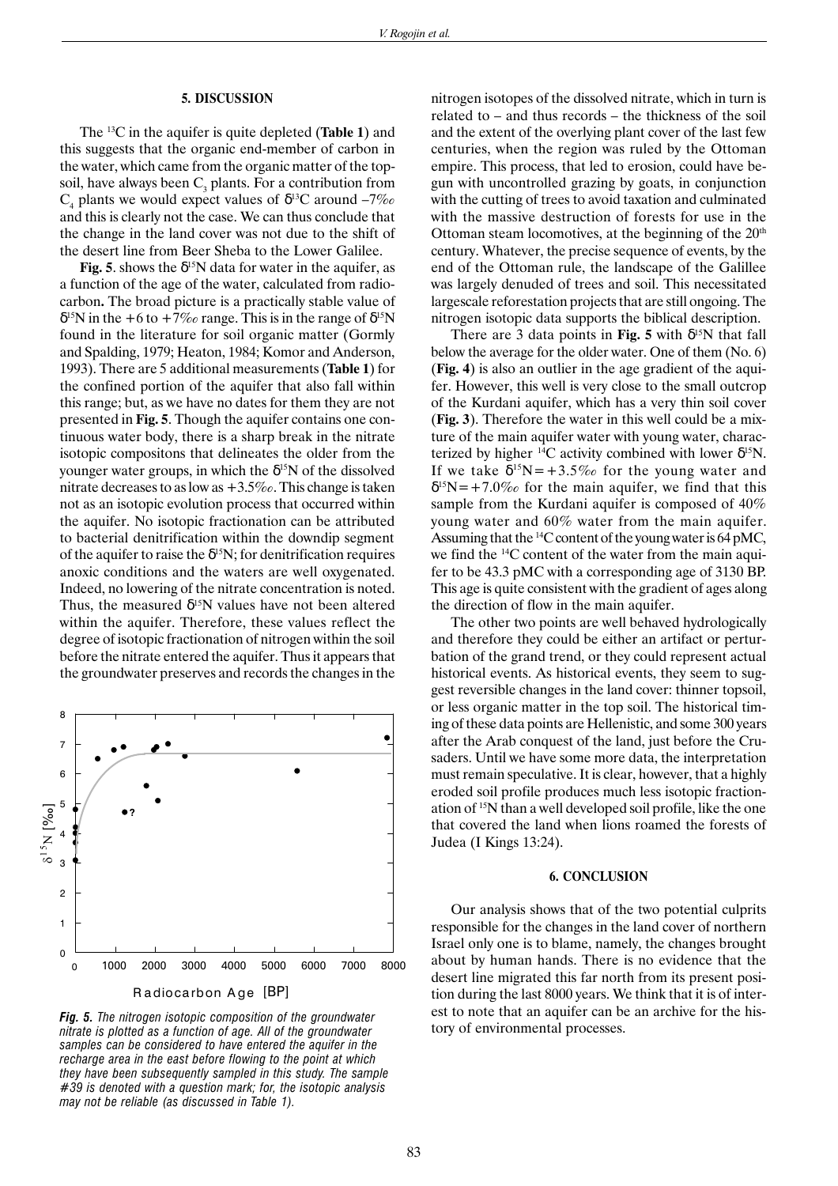## **5. DISCUSSION**

The 13C in the aquifer is quite depleted (**Table 1**) and this suggests that the organic end-member of carbon in the water, which came from the organic matter of the topsoil, have always been  $C_3$  plants. For a contribution from  $C_4$  plants we would expect values of  $\delta^{13}C$  around  $-7\%$ and this is clearly not the case. We can thus conclude that the change in the land cover was not due to the shift of the desert line from Beer Sheba to the Lower Galilee.

**Fig. 5**. shows the  $\delta^{15}N$  data for water in the aquifer, as a function of the age of the water, calculated from radiocarbon**.** The broad picture is a practically stable value of  $\delta^{15}$ N in the +6 to +7\% range. This is in the range of  $\delta^{15}$ N found in the literature for soil organic matter (Gormly and Spalding, 1979; Heaton, 1984; Komor and Anderson, 1993). There are 5 additional measurements (**Table 1**) for the confined portion of the aquifer that also fall within this range; but, as we have no dates for them they are not presented in **Fig. 5**. Though the aquifer contains one continuous water body, there is a sharp break in the nitrate isotopic compositons that delineates the older from the younger water groups, in which the  $\delta^{15}N$  of the dissolved nitrate decreases to as low as +3.5‰. This change is taken not as an isotopic evolution process that occurred within the aquifer. No isotopic fractionation can be attributed to bacterial denitrification within the downdip segment of the aquifer to raise the  $\delta^{15}N$ ; for denitrification requires anoxic conditions and the waters are well oxygenated. Indeed, no lowering of the nitrate concentration is noted. Thus, the measured  $\delta^{15}N$  values have not been altered within the aquifer. Therefore, these values reflect the degree of isotopic fractionation of nitrogen within the soil before the nitrate entered the aquifer. Thus it appears that the groundwater preserves and records the changes in the



**Fig. 5.** The nitrogen isotopic composition of the groundwater<br>nitrate is plotted as a function of age. All of the groundwater **the action of the interval processes**. *samples can be considered to have entered the aquifer in the recharge area in the east before flowing to the point at which they have been subsequently sampled in this study. The sample #39 is denoted with a question mark; for, the isotopic analysis may not be reliable (as discussed in Table 1).*

nitrogen isotopes of the dissolved nitrate, which in turn is related to – and thus records – the thickness of the soil and the extent of the overlying plant cover of the last few centuries, when the region was ruled by the Ottoman empire. This process, that led to erosion, could have begun with uncontrolled grazing by goats, in conjunction with the cutting of trees to avoid taxation and culminated with the massive destruction of forests for use in the Ottoman steam locomotives, at the beginning of the  $20<sup>th</sup>$ century. Whatever, the precise sequence of events, by the end of the Ottoman rule, the landscape of the Galillee was largely denuded of trees and soil. This necessitated largescale reforestation projects that are still ongoing. The nitrogen isotopic data supports the biblical description.

There are 3 data points in **Fig. 5** with  $\delta^{15}N$  that fall below the average for the older water. One of them (No. 6) (**Fig. 4**) is also an outlier in the age gradient of the aquifer. However, this well is very close to the small outcrop of the Kurdani aquifer, which has a very thin soil cover (**Fig. 3**). Therefore the water in this well could be a mixture of the main aquifer water with young water, characterized by higher  $^{14}C$  activity combined with lower  $\delta^{15}N$ . If we take  $\delta^{15}N=+3.5\%$  for the young water and  $\delta^{15}N$ =+7.0‰ for the main aquifer, we find that this sample from the Kurdani aquifer is composed of 40% young water and 60% water from the main aquifer. Assuming that the 14C content of the young water is 64 pMC, we find the 14C content of the water from the main aquifer to be 43.3 pMC with a corresponding age of 3130 BP. This age is quite consistent with the gradient of ages along the direction of flow in the main aquifer.

The other two points are well behaved hydrologically and therefore they could be either an artifact or perturbation of the grand trend, or they could represent actual historical events. As historical events, they seem to suggest reversible changes in the land cover: thinner topsoil, or less organic matter in the top soil. The historical timing of these data points are Hellenistic, and some 300 years after the Arab conquest of the land, just before the Crusaders. Until we have some more data, the interpretation must remain speculative. It is clear, however, that a highly eroded soil profile produces much less isotopic fractionation of 15N than a well developed soil profile, like the one that covered the land when lions roamed the forests of Judea (I Kings 13:24).

## **6. CONCLUSION**

Our analysis shows that of the two potential culprits responsible for the changes in the land cover of northern Israel only one is to blame, namely, the changes brought about by human hands. There is no evidence that the desert line migrated this far north from its present position during the last 8000 years. We think that it is of interest to note that an aquifer can be an archive for the his-